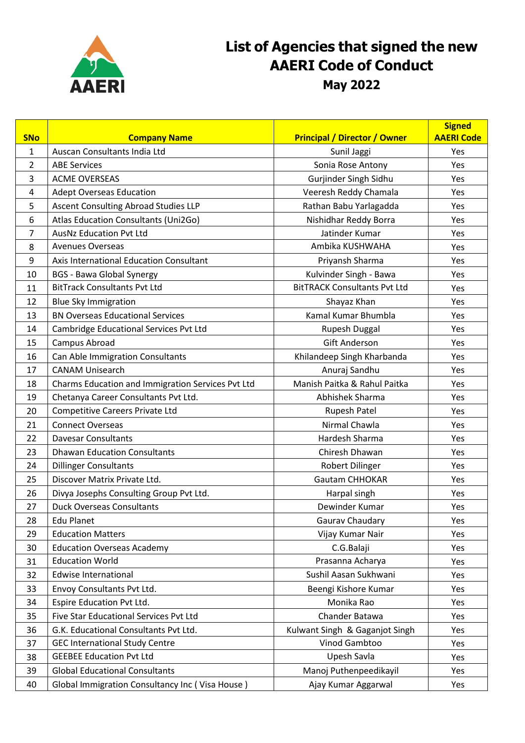

## **List of Agencies that signed the new AAERI Code of Conduct May 2022**

| <b>SNo</b> | <b>Company Name</b>                               | <b>Principal / Director / Owner</b> | <b>Signed</b><br><b>AAERI Code</b> |
|------------|---------------------------------------------------|-------------------------------------|------------------------------------|
| 1          | Auscan Consultants India Ltd                      | Sunil Jaggi                         | Yes                                |
| 2          | <b>ABE Services</b>                               | Sonia Rose Antony                   | Yes                                |
| 3          | <b>ACME OVERSEAS</b>                              | Gurjinder Singh Sidhu               | Yes                                |
| 4          | <b>Adept Overseas Education</b>                   | Veeresh Reddy Chamala               | Yes                                |
| 5          | Ascent Consulting Abroad Studies LLP              | Rathan Babu Yarlagadda              | Yes                                |
| 6          | Atlas Education Consultants (Uni2Go)              | Nishidhar Reddy Borra               | Yes                                |
| 7          | <b>AusNz Education Pvt Ltd</b>                    | Jatinder Kumar                      | Yes                                |
| 8          | <b>Avenues Overseas</b>                           | Ambika KUSHWAHA                     | Yes                                |
| 9          | Axis International Education Consultant           | Priyansh Sharma                     | Yes                                |
| 10         | <b>BGS - Bawa Global Synergy</b>                  | Kulvinder Singh - Bawa              | Yes                                |
| 11         | <b>BitTrack Consultants Pvt Ltd</b>               | <b>BitTRACK Consultants Pvt Ltd</b> | Yes                                |
| 12         | <b>Blue Sky Immigration</b>                       | Shayaz Khan                         | Yes                                |
| 13         | <b>BN Overseas Educational Services</b>           | Kamal Kumar Bhumbla                 | Yes                                |
| 14         | Cambridge Educational Services Pvt Ltd            | Rupesh Duggal                       | Yes                                |
| 15         | Campus Abroad                                     | <b>Gift Anderson</b>                | Yes                                |
| 16         | Can Able Immigration Consultants                  | Khilandeep Singh Kharbanda          | Yes                                |
| 17         | <b>CANAM Unisearch</b>                            | Anuraj Sandhu                       | Yes                                |
| 18         | Charms Education and Immigration Services Pvt Ltd | Manish Paitka & Rahul Paitka        | Yes                                |
| 19         | Chetanya Career Consultants Pvt Ltd.              | Abhishek Sharma                     | Yes                                |
| 20         | <b>Competitive Careers Private Ltd</b>            | Rupesh Patel                        | Yes                                |
| 21         | <b>Connect Overseas</b>                           | Nirmal Chawla                       | Yes                                |
| 22         | <b>Davesar Consultants</b>                        | Hardesh Sharma                      | Yes                                |
| 23         | <b>Dhawan Education Consultants</b>               | Chiresh Dhawan                      | Yes                                |
| 24         | <b>Dillinger Consultants</b>                      | <b>Robert Dilinger</b>              | Yes                                |
| 25         | Discover Matrix Private Ltd.                      | <b>Gautam CHHOKAR</b>               | Yes                                |
| 26         | Divya Josephs Consulting Group Pvt Ltd.           | Harpal singh                        | Yes                                |
| 27         | <b>Duck Overseas Consultants</b>                  | Dewinder Kumar                      | Yes                                |
| 28         | <b>Edu Planet</b>                                 | Gaurav Chaudary                     | Yes                                |
| 29         | <b>Education Matters</b>                          | Vijay Kumar Nair                    | Yes                                |
| 30         | <b>Education Overseas Academy</b>                 | C.G.Balaji                          | Yes                                |
| 31         | <b>Education World</b>                            | Prasanna Acharya                    | Yes                                |
| 32         | <b>Edwise International</b>                       | Sushil Aasan Sukhwani               | Yes                                |
| 33         | Envoy Consultants Pvt Ltd.                        | Beengi Kishore Kumar                | Yes                                |
| 34         | Espire Education Pvt Ltd.                         | Monika Rao                          | Yes                                |
| 35         | Five Star Educational Services Pvt Ltd            | Chander Batawa                      | Yes                                |
| 36         | G.K. Educational Consultants Pvt Ltd.             | Kulwant Singh & Gaganjot Singh      | Yes                                |
| 37         | <b>GEC International Study Centre</b>             | Vinod Gambtoo                       | Yes                                |
| 38         | <b>GEEBEE Education Pvt Ltd</b>                   | Upesh Savla                         | Yes                                |
| 39         | <b>Global Educational Consultants</b>             | Manoj Puthenpeedikayil              | Yes                                |
| 40         | Global Immigration Consultancy Inc (Visa House)   | Ajay Kumar Aggarwal                 | Yes                                |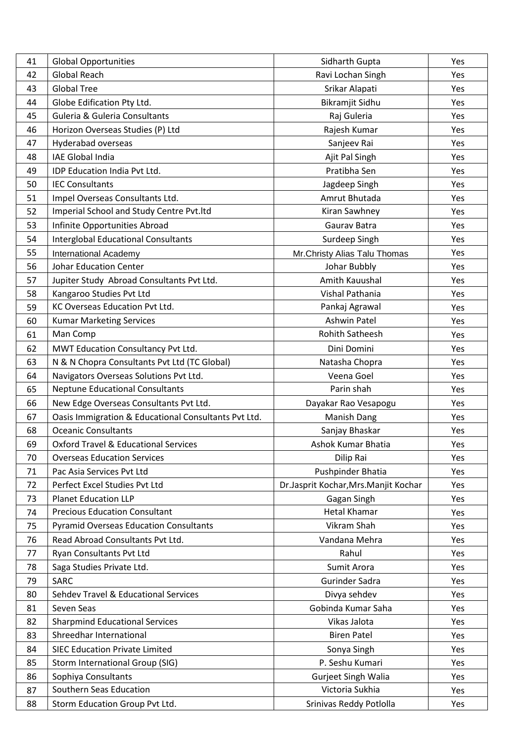| 41 | <b>Global Opportunities</b>                          | Sidharth Gupta                       | Yes |
|----|------------------------------------------------------|--------------------------------------|-----|
| 42 | <b>Global Reach</b>                                  | Ravi Lochan Singh                    | Yes |
| 43 | <b>Global Tree</b>                                   | Srikar Alapati                       | Yes |
| 44 | Globe Edification Pty Ltd.                           | Bikramjit Sidhu                      | Yes |
| 45 | <b>Guleria &amp; Guleria Consultants</b>             | Raj Guleria                          | Yes |
| 46 | Horizon Overseas Studies (P) Ltd                     | Rajesh Kumar                         | Yes |
| 47 | Hyderabad overseas                                   | Sanjeev Rai                          | Yes |
| 48 | <b>IAE Global India</b>                              | Ajit Pal Singh                       | Yes |
| 49 | IDP Education India Pvt Ltd.                         | Pratibha Sen                         | Yes |
| 50 | <b>IEC Consultants</b>                               | Jagdeep Singh                        | Yes |
| 51 | Impel Overseas Consultants Ltd.                      | Amrut Bhutada                        | Yes |
| 52 | Imperial School and Study Centre Pvt.ltd             | Kiran Sawhney                        | Yes |
| 53 | Infinite Opportunities Abroad                        | Gaurav Batra                         | Yes |
| 54 | <b>Interglobal Educational Consultants</b>           | Surdeep Singh                        | Yes |
| 55 | <b>International Academy</b>                         | Mr.Christy Alias Talu Thomas         | Yes |
| 56 | <b>Johar Education Center</b>                        | Johar Bubbly                         | Yes |
| 57 | Jupiter Study Abroad Consultants Pvt Ltd.            | Amith Kauushal                       | Yes |
| 58 | Kangaroo Studies Pvt Ltd                             | Vishal Pathania                      | Yes |
| 59 | KC Overseas Education Pvt Ltd.                       | Pankaj Agrawal                       | Yes |
| 60 | <b>Kumar Marketing Services</b>                      | Ashwin Patel                         | Yes |
| 61 | Man Comp                                             | <b>Rohith Satheesh</b>               | Yes |
| 62 | MWT Education Consultancy Pvt Ltd.                   | Dini Domini                          | Yes |
| 63 | N & N Chopra Consultants Pvt Ltd (TC Global)         | Natasha Chopra                       | Yes |
| 64 | Navigators Overseas Solutions Pvt Ltd.               | Veena Goel                           | Yes |
| 65 | <b>Neptune Educational Consultants</b>               | Parin shah                           | Yes |
| 66 | New Edge Overseas Consultants Pvt Ltd.               | Dayakar Rao Vesapogu                 | Yes |
| 67 | Oasis Immigration & Educational Consultants Pvt Ltd. | <b>Manish Dang</b>                   | Yes |
| 68 | <b>Oceanic Consultants</b>                           | Sanjay Bhaskar                       | Yes |
| 69 | <b>Oxford Travel &amp; Educational Services</b>      | Ashok Kumar Bhatia                   | Yes |
| 70 | <b>Overseas Education Services</b>                   | Dilip Rai                            | Yes |
| 71 | Pac Asia Services Pvt Ltd                            | Pushpinder Bhatia                    | Yes |
| 72 | Perfect Excel Studies Pvt Ltd                        | Dr.Jasprit Kochar, Mrs.Manjit Kochar | Yes |
| 73 | <b>Planet Education LLP</b>                          | Gagan Singh                          | Yes |
| 74 | <b>Precious Education Consultant</b>                 | <b>Hetal Khamar</b>                  | Yes |
| 75 | <b>Pyramid Overseas Education Consultants</b>        | Vikram Shah                          | Yes |
| 76 | Read Abroad Consultants Pvt Ltd.                     | Vandana Mehra                        | Yes |
| 77 | Ryan Consultants Pvt Ltd                             | Rahul                                | Yes |
| 78 | Saga Studies Private Ltd.                            | Sumit Arora                          | Yes |
| 79 | <b>SARC</b>                                          | Gurinder Sadra                       | Yes |
| 80 | Sehdev Travel & Educational Services                 | Divya sehdev                         | Yes |
| 81 | Seven Seas                                           | Gobinda Kumar Saha                   | Yes |
| 82 | <b>Sharpmind Educational Services</b>                | Vikas Jalota                         | Yes |
| 83 | Shreedhar International                              | <b>Biren Patel</b>                   | Yes |
| 84 | <b>SIEC Education Private Limited</b>                | Sonya Singh                          | Yes |
| 85 | Storm International Group (SIG)                      | P. Seshu Kumari                      | Yes |
| 86 | Sophiya Consultants                                  | <b>Gurjeet Singh Walia</b>           | Yes |
| 87 | Southern Seas Education                              | Victoria Sukhia                      | Yes |
| 88 | Storm Education Group Pvt Ltd.                       | Srinivas Reddy Potlolla              | Yes |